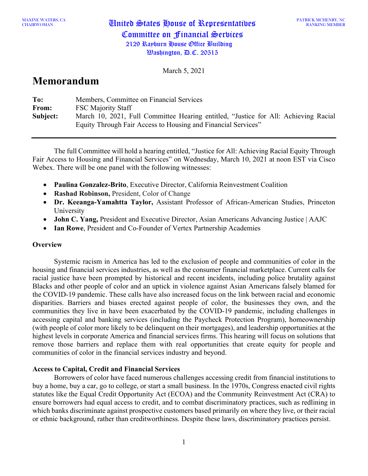PATRICK MCHENRY, NC RANKING MEMBER

March 5, 2021

# **Memorandum**

| To:      | Members, Committee on Financial Services                                                                                                             |
|----------|------------------------------------------------------------------------------------------------------------------------------------------------------|
| From:    | <b>FSC Majority Staff</b>                                                                                                                            |
| Subject: | March 10, 2021, Full Committee Hearing entitled, "Justice for All: Achieving Racial<br>Equity Through Fair Access to Housing and Financial Services" |

The full Committee will hold a hearing entitled, "Justice for All: Achieving Racial Equity Through Fair Access to Housing and Financial Services" on Wednesday, March 10, 2021 at noon EST via Cisco Webex. There will be one panel with the following witnesses:

- **Paulina Gonzalez-Brito**, Executive Director, California Reinvestment Coalition
- **Rashad Robinson,** President, Color of Change
- **Dr. Keeanga-Yamahtta Taylor,** Assistant Professor of African-American Studies, Princeton University
- **John C. Yang,** President and Executive Director, Asian Americans Advancing Justice | AAJC
- **Ian Rowe**, President and Co-Founder of Vertex Partnership Academies

## **Overview**

Systemic racism in America has led to the exclusion of people and communities of color in the housing and financial services industries, as well as the consumer financial marketplace. Current calls for racial justice have been prompted by historical and recent incidents, including police brutality against Blacks and other people of color and an uptick in violence against Asian Americans falsely blamed for the COVID-19 pandemic. These calls have also increased focus on the link between racial and economic disparities. Barriers and biases erected against people of color, the businesses they own, and the communities they live in have been exacerbated by the COVID-19 pandemic, including challenges in accessing capital and banking services (including the Paycheck Protection Program), homeownership (with people of color more likely to be delinquent on their mortgages), and leadership opportunities at the highest levels in corporate America and financial services firms. This hearing will focus on solutions that remove those barriers and replace them with real opportunities that create equity for people and communities of color in the financial services industry and beyond.

## **Access to Capital, Credit and Financial Services**

Borrowers of color have faced numerous challenges accessing credit from financial institutions to buy a home, buy a car, go to college, or start a small business. In the 1970s, Congress enacted civil rights statutes like the Equal Credit Opportunity Act (ECOA) and the Community Reinvestment Act (CRA) to ensure borrowers had equal access to credit, and to combat discriminatory practices, such as redlining in which banks discriminate against prospective customers based primarily on where they live, or their racial or ethnic background, rather than creditworthiness. Despite these laws, discriminatory practices persist.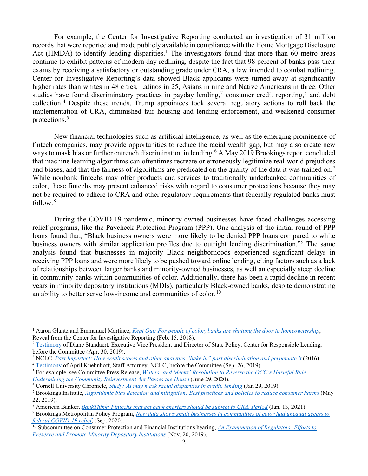For example, the Center for Investigative Reporting conducted an investigation of 31 million records that were reported and made publicly available in compliance with the Home Mortgage Disclosure Act (HMDA) to identify lending disparities.<sup>[1](#page-1-0)</sup> The investigators found that more than 60 metro areas continue to exhibit patterns of modern day redlining, despite the fact that 98 percent of banks pass their exams by receiving a satisfactory or outstanding grade under CRA, a law intended to combat redlining. Center for Investigative Reporting's data showed Black applicants were turned away at significantly higher rates than whites in 48 cities, Latinos in 25, Asians in nine and Native Americans in three. Other studies have found discriminatory practices in payday lending,<sup>[2](#page-1-1)</sup> consumer credit reporting,<sup>[3](#page-1-2)</sup> and debt collection.[4](#page-1-3) Despite these trends, Trump appointees took several regulatory actions to roll back the implementation of CRA, diminished fair housing and lending enforcement, and weakened consumer protections.[5](#page-1-4)

New financial technologies such as artificial intelligence, as well as the emerging prominence of fintech companies, may provide opportunities to reduce the racial wealth gap, but may also create new ways to mask bias or further entrench discrimination in lending.<sup>[6](#page-1-5)</sup> A May 2019 Brookings report concluded that machine learning algorithms can oftentimes recreate or erroneously legitimize real-world prejudices and biases, and that the fairness of algorithms are predicated on the quality of the data it was trained on.<sup>[7](#page-1-6)</sup> While nonbank fintechs may offer products and services to traditionally underbanked communities of color, these fintechs may present enhanced risks with regard to consumer protections because they may not be required to adhere to CRA and other regulatory requirements that federally regulated banks must follow.[8](#page-1-7)

During the COVID-19 pandemic, minority-owned businesses have faced challenges accessing relief programs, like the Paycheck Protection Program (PPP). One analysis of the initial round of PPP loans found that, "Black business owners were more likely to be denied PPP loans compared to white business owners with similar application profiles due to outright lending discrimination."[9](#page-1-8) The same analysis found that businesses in majority Black neighborhoods experienced significant delays in receiving PPP loans and were more likely to be pushed toward online lending, citing factors such as a lack of relationships between larger banks and minority-owned businesses, as well an especially steep decline in community banks within communities of color. Additionally, there has been a rapid decline in recent years in minority depository institutions (MDIs), particularly Black-owned banks, despite demonstrating an ability to better serve low-income and communities of color.<sup>[10](#page-1-9)</sup>

<span id="page-1-0"></span><sup>&</sup>lt;sup>1</sup> Aaron Glantz and Emmanuel Martinez, *[Kept Out: For people of color, banks are shutting the door to homeownership](https://www.revealnews.org/article/for-people-of-color-banks-are-shutting-the-door-to-homeownership/)*, Reveal from the Center for Investigative Reporting (Feb. 15, 2018).

<span id="page-1-1"></span><sup>&</sup>lt;sup>2</sup> [Testimony](https://financialservices.house.gov/uploadedfiles/hhrg-116-ba15-wstate-standaertd-20190430.pdf) of Diane Standaert, Executive Vice President and Director of State Policy, Center for Responsible Lending, before the Committee (Apr. 30, 2019).

<span id="page-1-2"></span><sup>&</sup>lt;sup>3</sup> NCLC, [Past Imperfect: How credit scores and other analytics "bake in" past discrimination and perpetuate it](https://www.nclc.org/images/pdf/credit_discrimination/Past_Imperfect050616.pdf) (2016).

<span id="page-1-3"></span><sup>4</sup> [Testimony](https://financialservices.house.gov/uploadedfiles/hhrg-116-ba00-wstate-kuehnhoffa-20190926.pdf) of April Kuehnhoff, Staff Attorney, NCLC, before the Committee (Sep. 26, 2019).

<span id="page-1-4"></span><sup>5</sup> For example, see Committee Press Release, *[Waters' and Meeks' Resolution to Reverse the OCC's Harmful Rule](https://financialservices.house.gov/news/documentsingle.aspx?DocumentID=406724)  [Undermining the Community Reinvestment Act Passes the House](https://financialservices.house.gov/news/documentsingle.aspx?DocumentID=406724)* (June 29, 2020).

<span id="page-1-5"></span><sup>6</sup> Cornell University Chronicle, *[Study: AI may mask racial disparities in credit, lending](https://news.cornell.edu/stories/2019/01/study-ai-may-mask-racial-disparities-credit-lending)* (Jan 29, 2019).

<span id="page-1-6"></span><sup>7</sup> Brookings Institute, *[Algorithmic bias detection and mitigation: Best practices and policies to reduce consumer harms](https://www.brookings.edu/research/algorithmic-bias-detection-and-mitigation-best-practices-and-policies-to-reduce-consumer-harms/)* (May 22, 2019).

<span id="page-1-7"></span><sup>8</sup> American Banker, *[BankThink: Fintechs that get bank charters should be subject to CRA. Period](https://www.americanbanker.com/opinion/fintechs-that-get-bank-charters-should-be-subject-to-cra-period)* (Jan. 13, 2021).

<span id="page-1-8"></span><sup>9</sup> Brookings Metropolitan Policy Program, *[New data shows small businesses in communities of color had unequal access to](https://www.brookings.edu/research/new-data-shows-small-businesses-in-communities-of-color-had-unequal-access-to-federal-covid-19-relief/)  [federal COVID-19 relief](https://www.brookings.edu/research/new-data-shows-small-businesses-in-communities-of-color-had-unequal-access-to-federal-covid-19-relief/)*, (Sep. 2020).

<span id="page-1-9"></span><sup>10</sup> Subcommittee on Consumer Protection and Financial Institutions hearing, *[An Examination of Regulators' Efforts to](https://financialservices.house.gov/calendar/eventsingle.aspx?EventID=404651)  [Preserve and Promote Minority Depository Institutions](https://financialservices.house.gov/calendar/eventsingle.aspx?EventID=404651)* (Nov. 20, 2019).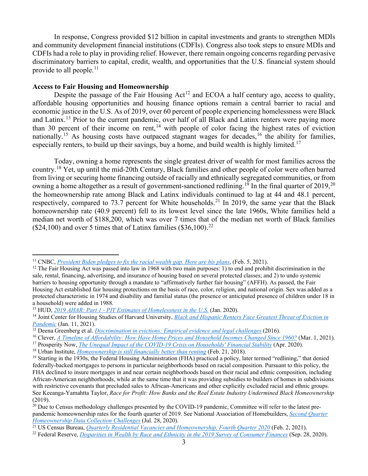In response, Congress provided \$12 billion in capital investments and grants to strengthen MDIs and community development financial institutions (CDFIs). Congress also took steps to ensure MDIs and CDFIs had a role to play in providing relief. However, there remain ongoing concerns regarding pervasive discriminatory barriers to capital, credit, wealth, and opportunities that the U.S. financial system should provide to all people. $^{11}$  $^{11}$  $^{11}$ 

#### **Access to Fair Housing and Homeownership**

Despite the passage of the Fair Housing  $Act^{12}$  $Act^{12}$  $Act^{12}$  and ECOA a half century ago, access to quality, affordable housing opportunities and housing finance options remain a central barrier to racial and economic justice in the U.S. As of 2019, over 60 percent of people experiencing homelessness were Black and Latinx.[13](#page-2-2) Prior to the current pandemic, over half of all Black and Latinx renters were paying more than 30 percent of their income on rent, $14$  with people of color facing the highest rates of eviction nationally.<sup>[15](#page-2-4)</sup> As housing costs have outpaced stagnant wages for decades,<sup>[16](#page-2-5)</sup> the ability for families, especially renters, to build up their savings, buy a home, and build wealth is highly limited.<sup>[17](#page-2-6)</sup>

Today, owning a home represents the single greatest driver of wealth for most families across the country.<sup>[18](#page-2-7)</sup> Yet, up until the mid-20th Century, Black families and other people of color were often barred from living or securing home financing outside of racially and ethnically segregated communities, or from owning a home altogether as a result of government-sanctioned redlining.<sup>[19](#page-2-8)</sup> In the final quarter of [20](#page-2-9)19,<sup>20</sup> the homeownership rate among Black and Latinx individuals continued to lag at 44 and 48.1 percent, respectively, compared to 73.7 percent for White households.<sup>[21](#page-2-10)</sup> In 2019, the same year that the Black homeownership rate (40.9 percent) fell to its lowest level since the late 1960s, White families held a median net worth of \$188,200, which was over 7 times that of the median net worth of Black families  $(\$24,100)$  and over 5 times that of Latinx families  $(\$36,100).^{22}$  $(\$36,100).^{22}$  $(\$36,100).^{22}$ 

<span id="page-2-0"></span><sup>11</sup> CNBC, *[President Biden pledges to fix the racial wealth gap. Here are his plans](https://www.cnbc.com/2021/02/05/president-biden-plansto-fix-the-racial-wealth-gap.html)*, (Feb. 5, 2021).

<span id="page-2-1"></span> $12$  The Fair Housing Act was passed into law in 1968 with two main purposes: 1) to end and prohibit discrimination in the sale, rental, financing, advertising, and insurance of housing based on several protected classes; and 2) to undo systemic barriers to housing opportunity through a mandate to "affirmatively further fair housing" (AFFH). As passed, the Fair Housing Act established fair housing protections on the basis of race, color, religion, and national origin. Sex was added as a protected characteristic in 1974 and disability and familial status (the presence or anticipated presence of children under 18 in a household) were added in 1988.

<span id="page-2-2"></span><sup>13</sup> HUD, *2019 AHAR: Part 1 - [PIT Estimates of Homelessness in the U.S.](https://www.huduser.gov/portal/sites/default/files/pdf/2019-AHAR-Part-1.pdf)* (Jan. 2020).

<span id="page-2-3"></span><sup>14</sup> Joint Center for Housing Studies of Harvard University, *[Black and Hispanic Renters Face Greatest Threat of Eviction in](https://www.jchs.harvard.edu/blog/black-and-hispanic-renters-face-greatest-threat-eviction-pandemic)  [Pandemic](https://www.jchs.harvard.edu/blog/black-and-hispanic-renters-face-greatest-threat-eviction-pandemic)* (Jan. 11, 2021).

<span id="page-2-4"></span><sup>15</sup> Deena Greenberg et al. *[Discrimination in evictions: Empirical evidence and legal challenges](https://harvardcrcl.org/wp-content/uploads/sites/10/2009/06/HLC106_crop.pdf)* (2016).

<span id="page-2-5"></span><sup>16</sup> Clever, *[A Timeline of Affordability: How Have Home Prices and Household Incomes Changed Since 1960?](https://listwithclever.com/research/home-price-v-income-historical-study/)* (Mar. 1, 2021).

<span id="page-2-6"></span><sup>17</sup> Prosperity Now, *[The Unequal Impact of the COVID-19 Crisis on Households' Financial Stability](https://prosperitynow.org/resources/unequal-impact-covid-19-crisis-households-financial-stability)* (Apr. 2020).

<span id="page-2-7"></span><sup>18</sup> Urban Institute, *[Homeownership is still financially better than renting](https://www.urban.org/urbanwire/homeownership-still-financially-better-renting)* (Feb. 21, 2018).

<span id="page-2-8"></span><sup>19</sup> Starting in the 1930s, the Federal Housing Administration (FHA) practiced a policy, later termed "redlining," that denied federally-backed mortgages to persons in particular neighborhoods based on racial composition. Pursuant to this policy, the FHA declined to insure mortgages in and near certain neighborhoods based on their racial and ethnic composition, including African-American neighborhoods, while at the same time that it was providing subsidies to builders of homes in subdivisions with restrictive covenants that precluded sales to African-Americans and other explicitly excluded racial and ethnic groups. See Keeanga-Yamahtta Taylor, *Race for Profit: How Banks and the Real Estate Industry Undermined Black Homeownership* (2019).

<span id="page-2-9"></span> $20$  Due to Census methodology challenges presented by the COVID-19 pandemic, Committee will refer to the latest prepandemic homeownership rates for the fourth quarter of 2019. See National Association of Homebuilders, *[Second Quarter](https://eyeonhousing.org/2020/07/second-quarter-homeownership-data-collection-challenges/)  [Homeownership Data Collection Challenges](https://eyeonhousing.org/2020/07/second-quarter-homeownership-data-collection-challenges/)* (Jul. 28, 2020).

<sup>21</sup> US Census Bureau, *[Quarterly Residential Vacancies and Homeownership, Fourth Quarter 2020](https://www.census.gov/housing/hvs/files/currenthvspress.pdf)* (Feb. 2, 2021).

<span id="page-2-11"></span><span id="page-2-10"></span><sup>22</sup> Federal Reserve, *[Disparities in Wealth by Race and Ethnicity in the 2019 Survey of Consumer Finances](https://www.federalreserve.gov/econres/notes/feds-notes/disparities-in-wealth-by-race-and-ethnicity-in-the-2019-survey-of-consumer-finances-20200928.htm#:%7E:text=September%2028%2C%202020-,Disparities%20in%20Wealth%20by%20Race%20and%20Ethnicity,2019%20Survey%20of%20Consumer%20Finances&text=Black%20families)* (Sep. 28, 2020).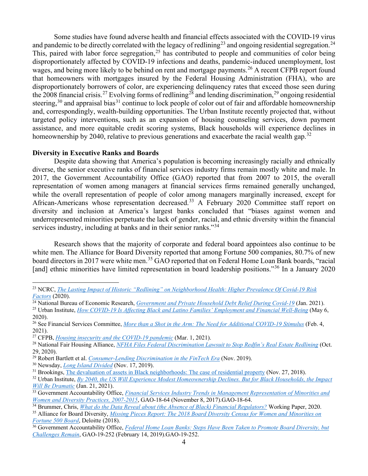Some studies have found adverse health and financial effects associated with the COVID-19 virus and pandemic to be directly correlated with the legacy of redlining<sup>[23](#page-3-0)</sup> and ongoing residential segregation.<sup>[24](#page-3-1)</sup> This, paired with labor force segregation,  $2<sup>5</sup>$  has contributed to people and communities of color being disproportionately affected by COVID-19 infections and deaths, pandemic-induced unemployment, lost wages, and being more likely to be behind on rent and mortgage payments.<sup>[26](#page-3-3)</sup> A recent CFPB report found that homeowners with mortgages insured by the Federal Housing Administration (FHA), who are disproportionately borrowers of color, are experiencing delinquency rates that exceed those seen during the 2008 financial crisis.<sup>[27](#page-3-4)</sup> Evolving forms of redlining<sup>[28](#page-3-5)</sup> and lending discrimination,<sup>[29](#page-3-6)</sup> ongoing residential steering,<sup>[30](#page-3-7)</sup> and appraisal bias<sup>[31](#page-3-8)</sup> continue to lock people of color out of fair and affordable homeownership and, correspondingly, wealth-building opportunities. The Urban Institute recently projected that, without targeted policy interventions, such as an expansion of housing counseling services, down payment assistance, and more equitable credit scoring systems, Black households will experience declines in homeownership by 2040, relative to previous generations and exacerbate the racial wealth gap.<sup>[32](#page-3-9)</sup>

#### **Diversity in Executive Ranks and Boards**

Despite data showing that America's population is becoming increasingly racially and ethnically diverse, the senior executive ranks of financial services industry firms remain mostly white and male. In 2017, the Government Accountability Office (GAO) reported that from 2007 to 2015, the overall representation of women among managers at financial services firms remained generally unchanged, while the overall representation of people of color among managers marginally increased, except for African-Americans whose representation decreased.<sup>[33](#page-3-10)</sup> A February 2020 Committee staff report on diversity and inclusion at America's largest banks concluded that "biases against women and underrepresented minorities perpetuate the lack of gender, racial, and ethnic diversity within the financial services industry, including at banks and in their senior ranks."<sup>[34](#page-3-11)</sup>

Research shows that the majority of corporate and federal board appointees also continue to be white men. The Alliance for Board Diversity reported that among Fortune 500 companies, 80.7% of new board directors in 2017 were white men.<sup>[35](#page-3-12)</sup> GAO reported that on Federal Home Loan Bank boards, "racial [and] ethnic minorities have limited representation in board leadership positions."<sup>[36](#page-3-13)</sup> In a January 2020

<span id="page-3-7"></span><sup>30</sup> Newsday, *[Long Island Divided](https://projects.newsday.com/long-island/realestate-agents-investigation/#open-paywall-message)* (Nov. 17, 2019).

<span id="page-3-12"></span>*[Fortune 500 Board](https://www2.deloitte.com/us/en/pages/center-for-board-effectiveness/articles/missing-pieces-fortune-500-board-diversity-study-2018.html)*, Deloitte (2018).

<span id="page-3-0"></span><sup>23</sup> NCRC, *[The Lasting Impact of Historic "Redlining" on Neighborhood Health: Higher Prevalence Of Covid-19 Risk](https://ncrc.org/holc-health/#:%7E:text=Our%20results%20show%20that%20greater,lasting%20impact%20of%20government%20supported)  [Factors](https://ncrc.org/holc-health/#:%7E:text=Our%20results%20show%20that%20greater,lasting%20impact%20of%20government%20supported)* (2020).

<span id="page-3-1"></span><sup>&</sup>lt;sup>24</sup> National Bureau of Economic Research, *[Government and Private Household Debt Relief During Covid-19](https://www.nber.org/system/files/working_papers/w28357/w28357.pdf)* (Jan. 2021).

<span id="page-3-2"></span><sup>25</sup> Urban Institute, *[How COVID-19 Is Affecting Black and Latino Families' Employment and Financial Well-Being](https://www.urban.org/urban-wire/how-covid-19-affecting-black-and-latino-families-employment-and-financial-well-being)* (May 6, 2020).

<span id="page-3-3"></span><sup>26</sup> See Financial Services Committee, *[More than a Shot in the Arm: The Need for Additional COVID-19 Stimulus](https://financialservices.house.gov/calendar/eventsingle.aspx?EventID=407097)* (Feb. 4, 2021).<br><sup>27</sup> CFPB, *Housing insecurity and the COVID-19 pandemic* (Mar. 1, 2021).

<span id="page-3-4"></span>

<span id="page-3-5"></span><sup>&</sup>lt;sup>28</sup> National Fair Housing Alliance, *[NFHA Files Federal Discrimination Lawsuit to Stop Redfin's Real Estate Redlining](https://nationalfairhousing.org/2020/10/29/nfha-files-federal-discrimination-lawsuit-to-stop-redfins-real-estate-redlining/)* [\(](https://files.consumerfinance.gov/f/documents/cfpb_Housing_insecurity_and_the_COVID-19_pandemic.pdf)Oct. 29, 2020).

<span id="page-3-6"></span><sup>29</sup> Robert Bartlett et al. *[Consumer-Lending Discrimination in the FinTech Era](https://faculty.haas.berkeley.edu/morse/research/papers/discrim.pdf)* (Nov. 2019).

<span id="page-3-8"></span><sup>&</sup>lt;sup>31</sup> Brookings[, The devaluation of assets in Black neighborhoods: The case of residential property](https://www.brookings.edu/research/devaluation-of-assets-in-black-neighborhoods/) (Nov. 27, 2018).

<span id="page-3-9"></span><sup>32</sup> Urban Institute, *[By 2040, the US Will Experience Modest Homeownership Declines. But for Black Households, the Impact](https://www.urban.org/urban-wire/2040-us-will-experience-modest-homeownership-declines-black-households-impact-will-be-dramatic)  [Will Be Dramatic](https://www.urban.org/urban-wire/2040-us-will-experience-modest-homeownership-declines-black-households-impact-will-be-dramatic)* (Jan. 21, 2021).

<span id="page-3-10"></span><sup>&</sup>lt;sup>33</sup> Government Accountability Office, *[Financial Services Industry Trends in Management Representation of Minorities and](https://www.gao.gov/products/GAO-18-64) Women and Diversity Practices, 2007-2015, GAO-18-64 (November 8, 2017).GAO-18-64.* 

<span id="page-3-11"></span><sup>&</sup>lt;sup>34</sup> Brummer[,](https://www.gao.gov/products/GAO-18-64) Chris, *[W](https://iielaw.org/wp-content/uploads/2020/08/Brummer-Data-Absense-of-Black-Financial-Regulators.pdf)hat do the Data Reveal about (the Absence of Black) Financial Regulators?* Working Paper, 2020.<br><sup>35</sup> Alliance for Board Diversity, *Missing Pieces Report: The 2018 Board Diversity Census for Women an* 

<span id="page-3-13"></span><sup>&</sup>lt;sup>36</sup> Government Accountability Office, *Federal Home Loan Banks: Steps Have Been Taken to Promote Board Diversity, but [Challenges Remain](https://www.gao.gov/products/gao-19-252)*, GAO-19-252 (February 14, 2019).GAO-19-252.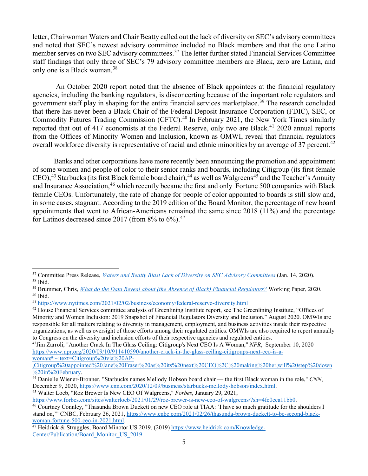letter, Chairwoman Waters and Chair Beatty called out the lack of diversity on SEC's advisory committees and noted that SEC's newest advisory committee included no Black members and that the one Latino member serves on two SEC advisory committees.<sup>[37](#page-4-0)</sup> The letter further stated Financial Services Committee staff findings that only three of SEC's 79 advisory committee members are Black, zero are Latina, and only one is a Black woman. [38](#page-4-1)

An October 2020 report noted that the absence of Black appointees at the financial regulatory agencies, including the banking regulators, is disconcerting because of the important role regulators and government staff play in shaping for the entire financial services marketplace. [39](#page-4-2) The research concluded that there has never been a Black Chair of the Federal Deposit Insurance Corporation (FDIC), SEC, or Commodity Futures Trading Commission (CFTC).<sup>[40](#page-4-3)</sup> In February 2021, the New York Times similarly reported that out of [41](#page-4-4)7 economists at the Federal Reserve, only two are Black.<sup>41</sup> 2020 annual reports from the Offices of Minority Women and Inclusion, known as OMWI, reveal that financial regulators overall workforce diversity is representative of racial and ethnic minorities by an average of 37 percent.<sup>[42](#page-4-5)</sup>

Banks and other corporations have more recently been announcing the promotion and appointment of some women and people of color to their senior ranks and boards, including Citigroup (its first female CEO),<sup>[43](#page-4-6)</sup> Starbucks (its first Black female board chair),<sup>[44](#page-4-7)</sup> as well as Walgreens<sup>[45](#page-4-8)</sup> and the Teacher's Annuity and Insurance Association, <sup>[46](#page-4-9)</sup> which recently became the first and only Fortune 500 companies with Black female CEOs. Unfortunately, the rate of change for people of color appointed to boards is still slow and, in some cases, stagnant. According to the 2019 edition of the Board Monitor, the percentage of new board appointments that went to African-Americans remained the same since 2018 (11%) and the percentage for Latinos decreased since 2017 (from  $8\%$  to  $6\%$ ).<sup>[47](#page-4-10)</sup>

<span id="page-4-8"></span><sup>45</sup> Walter Loeb, "Roz Brewer Is New CEO Of Walgreens," *Forbes*, January 29, 2021,

[https://www.forbes.com/sites/walterloeb/2021/01/29/roz-brewer-is-new-ceo-of-walgreens/?sh=4fc0eca11bb0.](https://www.forbes.com/sites/walterloeb/2021/01/29/roz-brewer-is-new-ceo-of-walgreens/?sh=4fc0eca11bb0)

<span id="page-4-0"></span><sup>37</sup> Committee Press Release, *[Waters and Beatty Blast Lack of Diversity on SEC Advisory Committees](https://financialservices.house.gov/news/documentsingle.aspx?DocumentID=406067)* (Jan. 14, 2020). <sup>38</sup> Ibid.

<span id="page-4-2"></span><span id="page-4-1"></span><sup>39</sup> Brummer, Chris, *[What do the Data Reveal about \(the Absence of Black\) Financial Regulators?](https://iielaw.org/wp-content/uploads/2020/08/Brummer-Data-Absense-of-Black-Financial-Regulators.pdf)* Working Paper, 2020.  $40$  Ibid.

<span id="page-4-4"></span><span id="page-4-3"></span><sup>41</sup> <https://www.nytimes.com/2021/02/02/business/economy/federal-reserve-diversity.html>

<span id="page-4-5"></span><sup>&</sup>lt;sup>42</sup> House Financial Services committee analysis of Greenlining Institute report, see The Greenlining Institute, "Offices of Minority and Women Inclusion: 2019 Snapshot of Financial Regulators Diversity and Inclusion." August 2020. OMWIs are responsible for all matters relating to diversity in management, employment, and business activities inside their respective organizations, as well as oversight of those efforts among their regulated entities. OMWIs are also required to report annually to Congress on the diversity and inclusion efforts of their respective agencies and regulated entities. 43Jim Zarroli, "Another Crack In The Glass Ceiling: Citigroup's Next CEO Is A Woman," *NPR*, September 10, 2020

<span id="page-4-6"></span>[https://www.npr.org/2020/09/10/911410590/another-crack-in-the-glass-ceiling-citigroups-next-ceo-is-a](https://www.npr.org/2020/09/10/911410590/another-crack-in-the-glass-ceiling-citigroups-next-ceo-is-a-woman#:%7E:text=Citigroup%20via%20AP-,Citigroup%20appointed%20Jane%20Fraser%20as%20its%20next%20CEO%2C%20making%20her,will%20step%20down%20in%20February)[woman#:~:text=Citigroup%20via%20AP-](https://www.npr.org/2020/09/10/911410590/another-crack-in-the-glass-ceiling-citigroups-next-ceo-is-a-woman#:%7E:text=Citigroup%20via%20AP-,Citigroup%20appointed%20Jane%20Fraser%20as%20its%20next%20CEO%2C%20making%20her,will%20step%20down%20in%20February)

[<sup>,</sup>Citigroup%20appointed%20Jane%20Fraser%20as%20its%20next%20CEO%2C%20making%20her,will%20step%20down](https://www.npr.org/2020/09/10/911410590/another-crack-in-the-glass-ceiling-citigroups-next-ceo-is-a-woman#:%7E:text=Citigroup%20via%20AP-,Citigroup%20appointed%20Jane%20Fraser%20as%20its%20next%20CEO%2C%20making%20her,will%20step%20down%20in%20February)<br>%20in%20February

<span id="page-4-7"></span><sup>&</sup>lt;sup>44</sup> Danielle Wiener-Bronner, "Starbucks names Mellody Hobson board chair — the first Black woman in the role," *CNN*, December 9, 2020[, https://www.cnn.com/2020/12/09/business/starbucks-mellody-hobson/index.html.](https://www.cnn.com/2020/12/09/business/starbucks-mellody-hobson/index.html)

<span id="page-4-9"></span><sup>&</sup>lt;sup>46</sup> Courtney Connley, "Thasunda Brown Duckett on new CEO role at TIAA: 'I have so much gratitude for the shoulders I stand on,'" CNBC, February 26, 2021, [https://www.cnbc.com/2021/02/26/thasunda-brown-duckett-to-be-second-black](https://www.cnbc.com/2021/02/26/thasunda-brown-duckett-to-be-second-black-woman-fortune-500-ceo-in-2021.html)[woman-fortune-500-ceo-in-2021.html.](https://www.cnbc.com/2021/02/26/thasunda-brown-duckett-to-be-second-black-woman-fortune-500-ceo-in-2021.html)

<span id="page-4-10"></span><sup>&</sup>lt;sup>47</sup> Heidrick & Struggles, Board Minotor US 2019. (2019) [https://www.heidrick.com/Knowledge-](https://www.heidrick.com/Knowledge-Center/Publication/Board_Monitor_US_2019)[Center/Publication/Board\\_Monitor\\_US\\_2019.](https://www.heidrick.com/Knowledge-Center/Publication/Board_Monitor_US_2019)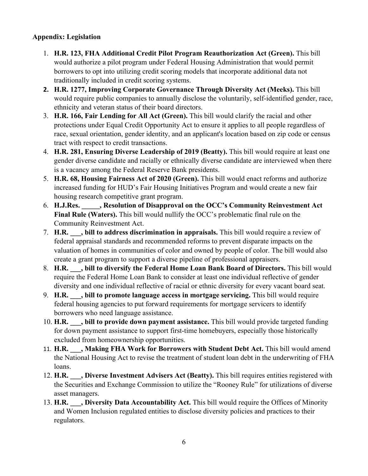# **Appendix: Legislation**

- 1. **H.R. 123, FHA Additional Credit Pilot Program Reauthorization Act (Green).** This bill would authorize a pilot program under Federal Housing Administration that would permit borrowers to opt into utilizing credit scoring models that incorporate additional data not traditionally included in credit scoring systems.
- **2. H.R. 1277, Improving Corporate Governance Through Diversity Act (Meeks).** This bill would require public companies to annually disclose the voluntarily, self-identified gender, race, ethnicity and veteran status of their board directors.
- 3. **H.R. 166, Fair Lending for All Act (Green).** This bill would clarify the racial and other protections under Equal Credit Opportunity Act to ensure it applies to all people regardless of race, sexual orientation, gender identity, and an applicant's location based on zip code or census tract with respect to credit transactions.
- 4. **H.R. 281, Ensuring Diverse Leadership of 2019 (Beatty).** This bill would require at least one gender diverse candidate and racially or ethnically diverse candidate are interviewed when there is a vacancy among the Federal Reserve Bank presidents.
- 5. **H.R. 68, Housing Fairness Act of 2020 (Green).** This bill would enact reforms and authorize increased funding for HUD's Fair Housing Initiatives Program and would create a new fair housing research competitive grant program.
- 6. **H.J.Res. \_\_\_\_\_, Resolution of Disapproval on the OCC's Community Reinvestment Act Final Rule (Waters).** This bill would nullify the OCC's problematic final rule on the Community Reinvestment Act.
- 7. **H.R. \_\_\_, bill to address discrimination in appraisals.** This bill would require a review of federal appraisal standards and recommended reforms to prevent disparate impacts on the valuation of homes in communities of color and owned by people of color. The bill would also create a grant program to support a diverse pipeline of professional appraisers.
- 8. **H.R. \_\_\_, bill to diversify the Federal Home Loan Bank Board of Directors.** This bill would require the Federal Home Loan Bank to consider at least one individual reflective of gender diversity and one individual reflective of racial or ethnic diversity for every vacant board seat.
- 9. **H.R. \_\_\_, bill to promote language access in mortgage servicing.** This bill would require federal housing agencies to put forward requirements for mortgage servicers to identify borrowers who need language assistance.
- 10. **H.R. \_\_\_, bill to provide down payment assistance.** This bill would provide targeted funding for down payment assistance to support first-time homebuyers, especially those historically excluded from homeownership opportunities.
- 11. **H.R. H.R. Alaking FHA Work for Borrowers with Student Debt Act.** This bill would amend the National Housing Act to revise the treatment of student loan debt in the underwriting of FHA loans.
- 12. **H.R. \_\_\_, Diverse Investment Advisers Act (Beatty).** This bill requires entities registered with the Securities and Exchange Commission to utilize the "Rooney Rule" for utilizations of diverse asset managers.
- 13. **H.R. \_\_\_, Diversity Data Accountability Act.** This bill would require the Offices of Minority and Women Inclusion regulated entities to disclose diversity policies and practices to their regulators.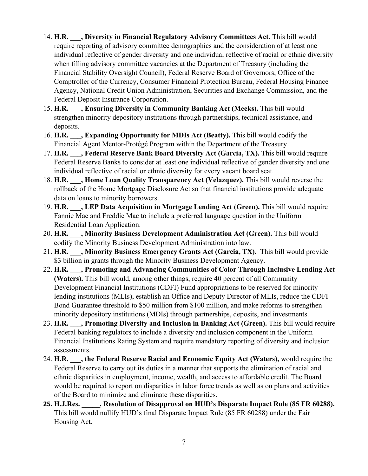- 14. **H.R. \_\_\_, Diversity in Financial Regulatory Advisory Committees Act.** This bill would require reporting of advisory committee demographics and the consideration of at least one individual reflective of gender diversity and one individual reflective of racial or ethnic diversity when filling advisory committee vacancies at the Department of Treasury (including the Financial Stability Oversight Council), Federal Reserve Board of Governors, Office of the Comptroller of the Currency, Consumer Financial Protection Bureau, Federal Housing Finance Agency, National Credit Union Administration, Securities and Exchange Commission, and the Federal Deposit Insurance Corporation.
- 15. **H.R. \_\_\_, Ensuring Diversity in Community Banking Act (Meeks).** This bill would strengthen minority depository institutions through partnerships, technical assistance, and deposits.
- 16. **H.R. \_\_\_, Expanding Opportunity for MDIs Act (Beatty).** This bill would codify the Financial Agent Mentor-Protégé Program within the Department of the Treasury.
- 17. **H.R. \_\_\_, Federal Reserve Bank Board Diversity Act (Garcia, TX).** This bill would require Federal Reserve Banks to consider at least one individual reflective of gender diversity and one individual reflective of racial or ethnic diversity for every vacant board seat.
- 18. **H.R. \_\_\_, Home Loan Quality Transparency Act (Velazquez).** This bill would reverse the rollback of the Home Mortgage Disclosure Act so that financial institutions provide adequate data on loans to minority borrowers.
- 19. **H.R. \_\_\_, LEP Data Acquisition in Mortgage Lending Act (Green).** This bill would require Fannie Mae and Freddie Mac to include a preferred language question in the Uniform Residential Loan Application.
- 20. **H.R. \_\_\_, Minority Business Development Administration Act (Green).** This bill would codify the Minority Business Development Administration into law.
- 21. **H.R. \_\_\_, Minority Business Emergency Grants Act (Garcia, TX).** This bill would provide \$3 billion in grants through the Minority Business Development Agency.
- 22. **H.R. \_\_\_, Promoting and Advancing Communities of Color Through Inclusive Lending Act (Waters).** This bill would, among other things, require 40 percent of all Community Development Financial Institutions (CDFI) Fund appropriations to be reserved for minority lending institutions (MLIs), establish an Office and Deputy Director of MLIs, reduce the CDFI Bond Guarantee threshold to \$50 million from \$100 million, and make reforms to strengthen minority depository institutions (MDIs) through partnerships, deposits, and investments.
- 23. **H.R. \_\_\_, Promoting Diversity and Inclusion in Banking Act (Green).** This bill would require Federal banking regulators to include a diversity and inclusion component in the Uniform Financial Institutions Rating System and require mandatory reporting of diversity and inclusion assessments.
- 24. **H.R. \_\_\_, the Federal Reserve Racial and Economic Equity Act (Waters),** would require the Federal Reserve to carry out its duties in a manner that supports the elimination of racial and ethnic disparities in employment, income, wealth, and access to affordable credit. The Board would be required to report on disparities in labor force trends as well as on plans and activities of the Board to minimize and eliminate these disparities.
- **25. H.J.Res. \_\_\_\_\_, Resolution of Disapproval on HUD's Disparate Impact Rule (85 FR 60288).** This bill would nullify HUD's final Disparate Impact Rule (85 FR 60288) under the Fair Housing Act.